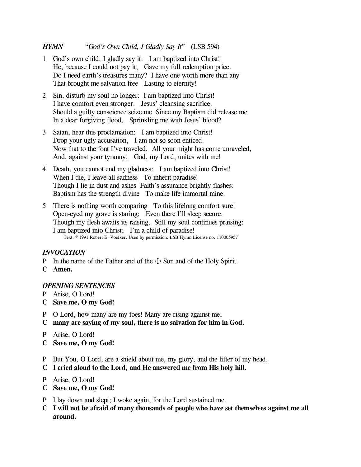# *HYMN* "*God's Own Child, I Gladly Say It*" (LSB 594)

- 1 God's own child, I gladly say it: I am baptized into Christ! He, because I could not pay it, Gave my full redemption price. Do I need earth's treasures many? I have one worth more than any That brought me salvation free Lasting to eternity!
- 2 Sin, disturb my soul no longer: I am baptized into Christ! I have comfort even stronger: Jesus' cleansing sacrifice. Should a guilty conscience seize me Since my Baptism did release me In a dear forgiving flood, Sprinkling me with Jesus' blood?
- 3 Satan, hear this proclamation: I am baptized into Christ! Drop your ugly accusation, I am not so soon enticed. Now that to the font I've traveled, All your might has come unraveled, And, against your tyranny, God, my Lord, unites with me!
- 4 Death, you cannot end my gladness: I am baptized into Christ! When I die, I leave all sadness To inherit paradise! Though I lie in dust and ashes Faith's assurance brightly flashes: Baptism has the strength divine To make life immortal mine.
- 5 There is nothing worth comparing To this lifelong comfort sure! Open-eyed my grave is staring: Even there I'll sleep secure. Though my flesh awaits its raising, Still my soul continues praising: I am baptized into Christ; I'm a child of paradise! Text: © 1991 Robert E. Voelker. Used by permission: LSB Hymn License no. 110005957

# *INVOCATION*

- P In the name of the Father and of the  $\pm$  Son and of the Holy Spirit.
- **C Amen.**

## *OPENING SENTENCES*

- P Arise, O Lord!
- **C Save me, O my God!**
- P O Lord, how many are my foes! Many are rising against me;
- **C many are saying of my soul, there is no salvation for him in God.**
- P Arise, O Lord!
- **C Save me, O my God!**
- P But You, O Lord, are a shield about me, my glory, and the lifter of my head.
- **C I cried aloud to the Lord, and He answered me from His holy hill.**
- P Arise, O Lord!
- **C Save me, O my God!**
- P I lay down and slept; I woke again, for the Lord sustained me.
- **C I will not be afraid of many thousands of people who have set themselves against me all around.**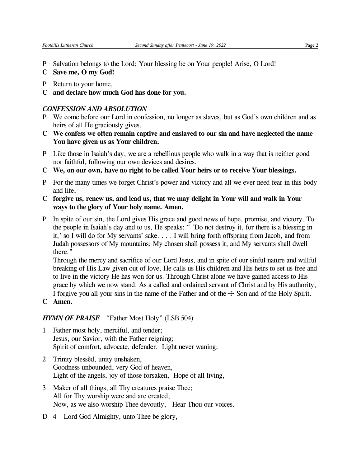- P Salvation belongs to the Lord; Your blessing be on Your people! Arise, O Lord!
- **C Save me, O my God!**
- P Return to your home,
- **C and declare how much God has done for you.**

## *CONFESSION AND ABSOLUTION*

- P We come before our Lord in confession, no longer as slaves, but as God's own children and as heirs of all He graciously gives.
- **C We confess we often remain captive and enslaved to our sin and have neglected the name You have given us as Your children.**
- P Like those in Isaiah's day, we are a rebellious people who walk in a way that is neither good nor faithful, following our own devices and desires.
- **C We, on our own, have no right to be called Your heirs or to receive Your blessings.**
- P For the many times we forget Christ's power and victory and all we ever need fear in this body and life,
- **C forgive us, renew us, and lead us, that we may delight in Your will and walk in Your ways to the glory of Your holy name. Amen.**
- P In spite of our sin, the Lord gives His grace and good news of hope, promise, and victory. To the people in Isaiah's day and to us, He speaks: " 'Do not destroy it, for there is a blessing in it,' so I will do for My servants' sake. . . . I will bring forth offspring from Jacob, and from Judah possessors of My mountains; My chosen shall possess it, and My servants shall dwell there."

Through the mercy and sacrifice of our Lord Jesus, and in spite of our sinful nature and willful breaking of His Law given out of love, He calls us His children and His heirs to set us free and to live in the victory He has won for us. Through Christ alone we have gained access to His grace by which we now stand. As a called and ordained servant of Christ and by His authority, I forgive you all your sins in the name of the Father and of the  $\pm$  Son and of the Holy Spirit.

**C Amen.**

# *HYMN OF PRAISE* "Father Most Holy" (LSB 504)

- 1 Father most holy, merciful, and tender; Jesus, our Savior, with the Father reigning; Spirit of comfort, advocate, defender, Light never waning;
- 2 Trinity blessèd, unity unshaken, Goodness unbounded, very God of heaven, Light of the angels, joy of those forsaken, Hope of all living,
- 3 Maker of all things, all Thy creatures praise Thee; All for Thy worship were and are created; Now, as we also worship Thee devoutly, Hear Thou our voices.
- D 4 Lord God Almighty, unto Thee be glory,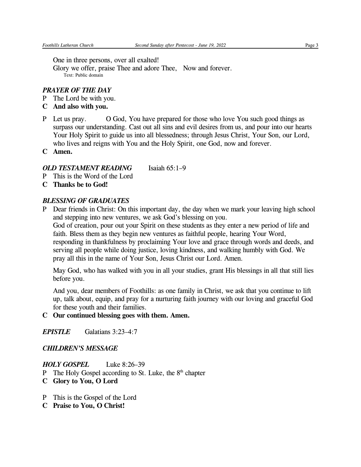One in three persons, over all exalted!

Glory we offer, praise Thee and adore Thee, Now and forever. Text: Public domain

## *PRAYER OF THE DAY*

- P The Lord be with you.
- **C And also with you.**
- P Let us pray. O God, You have prepared for those who love You such good things as surpass our understanding. Cast out all sins and evil desires from us, and pour into our hearts Your Holy Spirit to guide us into all blessedness; through Jesus Christ, Your Son, our Lord, who lives and reigns with You and the Holy Spirit, one God, now and forever.
- **C Amen.**

## *OLD TESTAMENT READING* Isaiah 65:1–9

- P This is the Word of the Lord
- **C Thanks be to God!**

# *BLESSING OF GRADUATES*

P Dear friends in Christ: On this important day, the day when we mark your leaving high school and stepping into new ventures, we ask God's blessing on you. God of creation, pour out your Spirit on these students as they enter a new period of life and faith. Bless them as they begin new ventures as faithful people, hearing Your Word, responding in thankfulness by proclaiming Your love and grace through words and deeds, and serving all people while doing justice, loving kindness, and walking humbly with God. We pray all this in the name of Your Son, Jesus Christ our Lord. Amen.

May God, who has walked with you in all your studies, grant His blessings in all that still lies before you.

And you, dear members of Foothills: as one family in Christ, we ask that you continue to lift up, talk about, equip, and pray for a nurturing faith journey with our loving and graceful God for these youth and their families.

## **C Our continued blessing goes with them. Amen.**

*EPISTLE* Galatians 3:23–4:7

## *CHILDREN'S MESSAGE*

*HOLY GOSPEL* Luke 8:26–39

- P The Holy Gospel according to St. Luke, the 8<sup>th</sup> chapter
- **C Glory to You, O Lord**
- P This is the Gospel of the Lord
- **C Praise to You, O Christ!**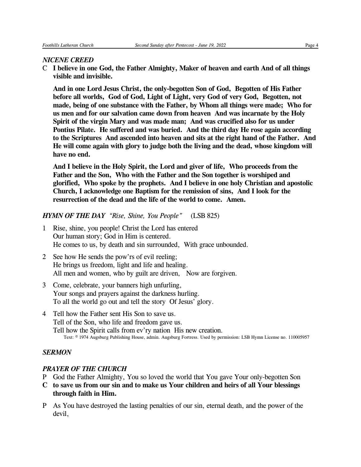#### *NICENE CREED*

C **I believe in one God, the Father Almighty, Maker of heaven and earth And of all things visible and invisible.**

**And in one Lord Jesus Christ, the only-begotten Son of God, Begotten of His Father before all worlds, God of God, Light of Light, very God of very God, Begotten, not made, being of one substance with the Father, by Whom all things were made; Who for us men and for our salvation came down from heaven And was incarnate by the Holy Spirit of the virgin Mary and was made man; And was crucified also for us under Pontius Pilate. He suffered and was buried. And the third day He rose again according to the Scriptures And ascended into heaven and sits at the right hand of the Father. And He will come again with glory to judge both the living and the dead, whose kingdom will have no end.**

**And I believe in the Holy Spirit, the Lord and giver of life, Who proceeds from the Father and the Son, Who with the Father and the Son together is worshiped and glorified, Who spoke by the prophets. And I believe in one holy Christian and apostolic Church, I acknowledge one Baptism for the remission of sins, And I look for the resurrection of the dead and the life of the world to come. Amen.**

### *HYMN OF THE DAY "Rise, Shine, You People"* (LSB 825)

- 1 Rise, shine, you people! Christ the Lord has entered Our human story; God in Him is centered. He comes to us, by death and sin surrounded, With grace unbounded.
- 2 See how He sends the pow'rs of evil reeling; He brings us freedom, light and life and healing. All men and women, who by guilt are driven, Now are forgiven.
- 3 Come, celebrate, your banners high unfurling, Your songs and prayers against the darkness hurling. To all the world go out and tell the story Of Jesus' glory.
- 4 Tell how the Father sent His Son to save us. Tell of the Son, who life and freedom gave us. Tell how the Spirit calls from ev'ry nation His new creation. Text: © 1974 Augsburg Publishing House, admin. Augsburg Fortress. Used by permission: LSB Hymn License no. 110005957

#### *SERMON*

### *PRAYER OF THE CHURCH*

- P God the Father Almighty, You so loved the world that You gave Your only-begotten Son
- **C to save us from our sin and to make us Your children and heirs of all Your blessings through faith in Him.**
- P As You have destroyed the lasting penalties of our sin, eternal death, and the power of the devil,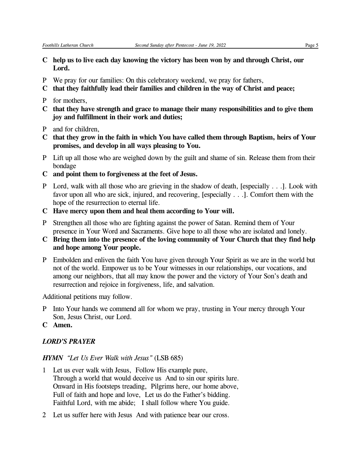- **C help us to live each day knowing the victory has been won by and through Christ, our Lord.**
- P We pray for our families: On this celebratory weekend, we pray for fathers,
- **C that they faithfully lead their families and children in the way of Christ and peace;**
- P for mothers,
- **C that they have strength and grace to manage their many responsibilities and to give them joy and fulfillment in their work and duties;**
- P and for children,
- **C that they grow in the faith in which You have called them through Baptism, heirs of Your promises, and develop in all ways pleasing to You.**
- P Lift up all those who are weighed down by the guilt and shame of sin. Release them from their bondage
- **C and point them to forgiveness at the feet of Jesus.**
- P Lord, walk with all those who are grieving in the shadow of death, [especially . . .]. Look with favor upon all who are sick, injured, and recovering, [especially . . .]. Comfort them with the hope of the resurrection to eternal life.
- **C Have mercy upon them and heal them according to Your will.**
- P Strengthen all those who are fighting against the power of Satan. Remind them of Your presence in Your Word and Sacraments. Give hope to all those who are isolated and lonely.
- **C Bring them into the presence of the loving community of Your Church that they find help and hope among Your people.**
- P Embolden and enliven the faith You have given through Your Spirit as we are in the world but not of the world. Empower us to be Your witnesses in our relationships, our vocations, and among our neighbors, that all may know the power and the victory of Your Son's death and resurrection and rejoice in forgiveness, life, and salvation.

Additional petitions may follow.

- P Into Your hands we commend all for whom we pray, trusting in Your mercy through Your Son, Jesus Christ, our Lord.
- **C Amen.**

### *LORD'S PRAYER*

#### *HYMN "Let Us Ever Walk with Jesus"* (LSB 685)

- 1 Let us ever walk with Jesus, Follow His example pure, Through a world that would deceive us And to sin our spirits lure. Onward in His footsteps treading, Pilgrims here, our home above, Full of faith and hope and love, Let us do the Father's bidding. Faithful Lord, with me abide; I shall follow where You guide.
- 2 Let us suffer here with Jesus And with patience bear our cross.